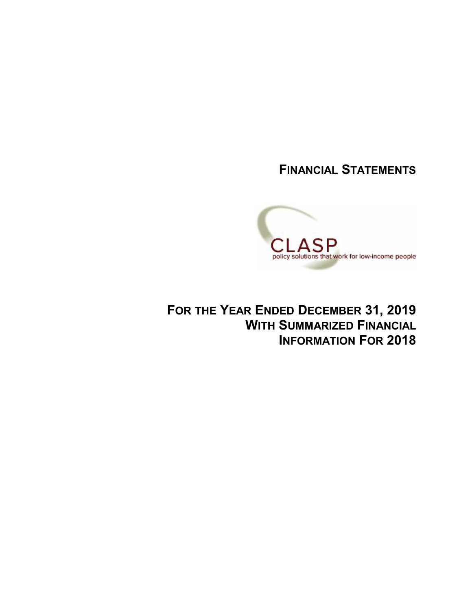**FINANCIAL STATEMENTS**



**FOR THE YEAR ENDED DECEMBER 31, 2019 WITH SUMMARIZED FINANCIAL INFORMATION FOR 2018**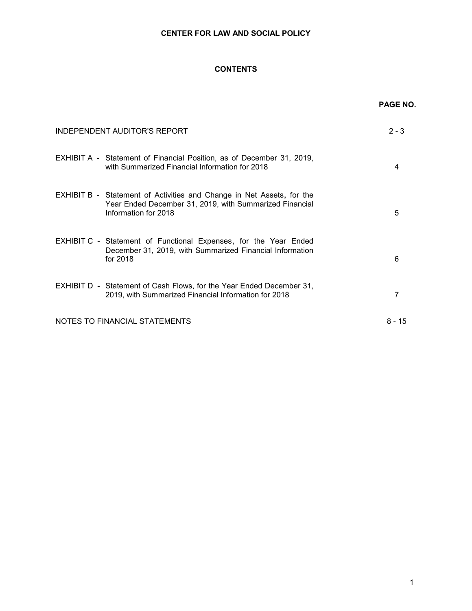# **CONTENTS**

|                                                                                                                                                          | <b>PAGE NO.</b> |
|----------------------------------------------------------------------------------------------------------------------------------------------------------|-----------------|
| INDEPENDENT AUDITOR'S REPORT                                                                                                                             | $2 - 3$         |
| EXHIBIT A - Statement of Financial Position, as of December 31, 2019,<br>with Summarized Financial Information for 2018                                  | 4               |
| EXHIBIT B - Statement of Activities and Change in Net Assets, for the<br>Year Ended December 31, 2019, with Summarized Financial<br>Information for 2018 | 5               |
| <b>EXHIBIT C - Statement of Functional Expenses, for the Year Ended</b><br>December 31, 2019, with Summarized Financial Information<br>for 2018          | 6               |
| EXHIBIT D - Statement of Cash Flows, for the Year Ended December 31,<br>2019, with Summarized Financial Information for 2018                             | 7               |
| NOTES TO FINANCIAL STATEMENTS                                                                                                                            | $8 - 15$        |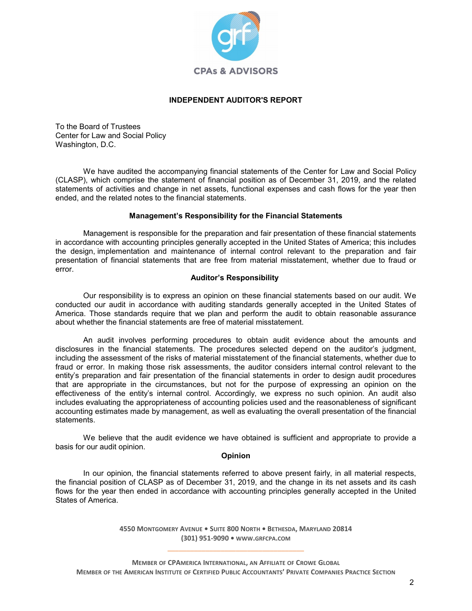

## **INDEPENDENT AUDITOR'S REPORT**

To the Board of Trustees Center for Law and Social Policy Washington, D.C.

We have audited the accompanying financial statements of the Center for Law and Social Policy (CLASP), which comprise the statement of financial position as of December 31, 2019, and the related statements of activities and change in net assets, functional expenses and cash flows for the year then ended, and the related notes to the financial statements.

## **Management's Responsibility for the Financial Statements**

Management is responsible for the preparation and fair presentation of these financial statements in accordance with accounting principles generally accepted in the United States of America; this includes the design, implementation and maintenance of internal control relevant to the preparation and fair presentation of financial statements that are free from material misstatement, whether due to fraud or error.

## **Auditor's Responsibility**

Our responsibility is to express an opinion on these financial statements based on our audit. We conducted our audit in accordance with auditing standards generally accepted in the United States of America. Those standards require that we plan and perform the audit to obtain reasonable assurance about whether the financial statements are free of material misstatement.

An audit involves performing procedures to obtain audit evidence about the amounts and disclosures in the financial statements. The procedures selected depend on the auditor's judgment, including the assessment of the risks of material misstatement of the financial statements, whether due to fraud or error. In making those risk assessments, the auditor considers internal control relevant to the entity's preparation and fair presentation of the financial statements in order to design audit procedures that are appropriate in the circumstances, but not for the purpose of expressing an opinion on the effectiveness of the entity's internal control. Accordingly, we express no such opinion. An audit also includes evaluating the appropriateness of accounting policies used and the reasonableness of significant accounting estimates made by management, as well as evaluating the overall presentation of the financial statements.

We believe that the audit evidence we have obtained is sufficient and appropriate to provide a basis for our audit opinion.

## **Opinion**

In our opinion, the financial statements referred to above present fairly, in all material respects, the financial position of CLASP as of December 31, 2019, and the change in its net assets and its cash flows for the year then ended in accordance with accounting principles generally accepted in the United States of America.

> **4550 MONTGOMERY AVENUE • SUITE 800 NORTH • BETHESDA, MARYLAND 20814 (301) 951-9090 • WWW.GRFCPA.COM** \_\_\_\_\_\_\_\_\_\_\_\_\_\_\_\_\_\_\_\_\_\_\_\_\_\_\_\_\_\_\_\_\_\_\_\_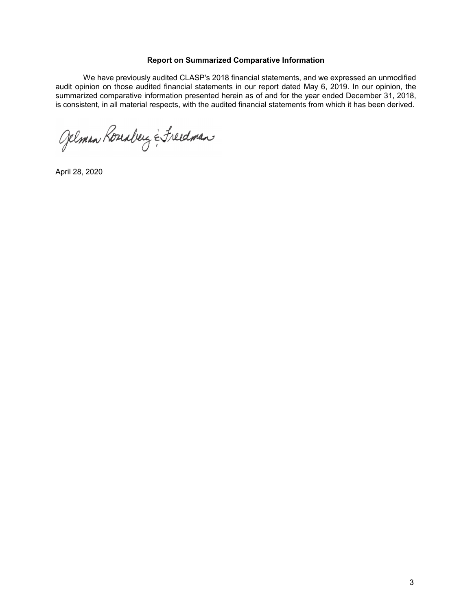## **Report on Summarized Comparative Information**

We have previously audited CLASP's 2018 financial statements, and we expressed an unmodified audit opinion on those audited financial statements in our report dated May 6, 2019. In our opinion, the summarized comparative information presented herein as of and for the year ended December 31, 2018, is consistent, in all material respects, with the audited financial statements from which it has been derived.

Gelman Roseaberg & Freedman

April 28, 2020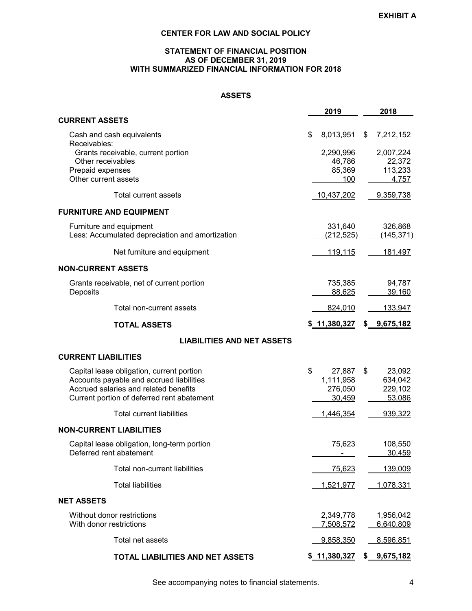## **STATEMENT OF FINANCIAL POSITION AS OF DECEMBER 31, 2019 WITH SUMMARIZED FINANCIAL INFORMATION FOR 2018**

# **ASSETS**

|                                                 | 2019                       | 2018            |
|-------------------------------------------------|----------------------------|-----------------|
| <b>CURRENT ASSETS</b>                           |                            |                 |
| Cash and cash equivalents<br>Receivables:       | \$<br>8,013,951            | \$<br>7,212,152 |
| Grants receivable, current portion              | 2,290,996                  | 2,007,224       |
| Other receivables                               | 46,786                     | 22,372          |
| Prepaid expenses<br>Other current assets        | 85,369                     | 113,233         |
|                                                 | <u>100</u>                 | 4,757           |
| Total current assets                            | <u>10,437,202</u>          | 9,359,738       |
| <b>FURNITURE AND EQUIPMENT</b>                  |                            |                 |
| Furniture and equipment                         | 331,640                    | 326,868         |
| Less: Accumulated depreciation and amortization | <u>(212,525)</u>           | (145, 371)      |
| Net furniture and equipment                     | <u>119,115</u>             | <u>181,497</u>  |
| <b>NON-CURRENT ASSETS</b>                       |                            |                 |
| Grants receivable, net of current portion       | 735,385                    | 94,787          |
| Deposits                                        | 88,625                     | 39,160          |
| Total non-current assets                        | 824,010                    | 133,947         |
| <b>TOTAL ASSETS</b>                             | \$ 11,380,327              | \$ 9,675,182    |
| <b>LIABILITIES AND NET ASSETS</b>               |                            |                 |
| <b>CURRENT LIABILITIES</b>                      |                            |                 |
| Capital lease obligation, current portion       | \$<br>27,887               | \$<br>23,092    |
| Accounts payable and accrued liabilities        | 1,111,958                  | 634,042         |
| Accrued salaries and related benefits           | 276,050                    | 229,102         |
| Current portion of deferred rent abatement      | 30,459                     | 53,086          |
| <b>Total current liabilities</b>                | 1,446,354                  | 939,322         |
| <b>NON-CURRENT LIABILITIES</b>                  |                            |                 |
| Capital lease obligation, long-term portion     | 75,623                     | 108,550         |
| Deferred rent abatement                         |                            | 30,459          |
| Total non-current liabilities                   | 75,623                     | 139,009         |
| <b>Total liabilities</b>                        | 1,521,977                  | 1,078,331       |
| <b>NET ASSETS</b>                               |                            |                 |
| Without donor restrictions                      | 2,349,778                  | 1,956,042       |
| With donor restrictions                         | 7,508,572                  | 6,640,809       |
|                                                 |                            |                 |
| Total net assets                                | 9,858,350                  | 8,596,851       |
| TOTAL LIABILITIES AND NET ASSETS                | $$11,380,327$ $$9,675,182$ |                 |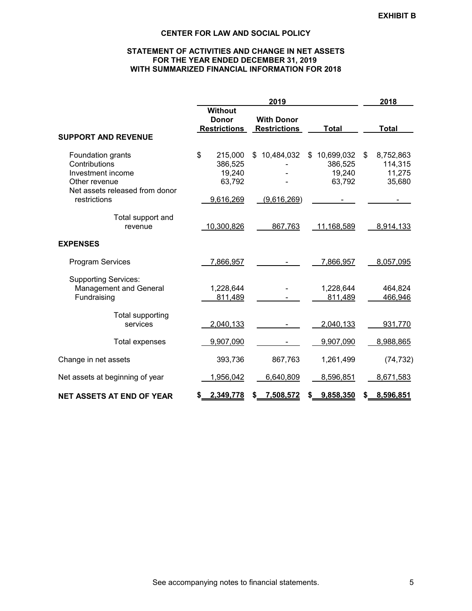## **STATEMENT OF ACTIVITIES AND CHANGE IN NET ASSETS FOR THE YEAR ENDED DECEMBER 31, 2019 WITH SUMMARIZED FINANCIAL INFORMATION FOR 2018**

|                                                                                                            |                                                       | 2019                                     |                                                 | 2018                                           |
|------------------------------------------------------------------------------------------------------------|-------------------------------------------------------|------------------------------------------|-------------------------------------------------|------------------------------------------------|
|                                                                                                            | <b>Without</b><br><b>Donor</b><br><b>Restrictions</b> | <b>With Donor</b><br><b>Restrictions</b> | <b>Total</b>                                    | <b>Total</b>                                   |
| <b>SUPPORT AND REVENUE</b>                                                                                 |                                                       |                                          |                                                 |                                                |
| Foundation grants<br>Contributions<br>Investment income<br>Other revenue<br>Net assets released from donor | \$<br>215,000<br>386,525<br>19,240<br>63,792          | 10,484,032<br>\$                         | \$<br>10,699,032<br>386,525<br>19,240<br>63,792 | \$<br>8,752,863<br>114,315<br>11,275<br>35,680 |
| restrictions                                                                                               | 9,616,269                                             | (9,616,269)                              |                                                 |                                                |
| Total support and<br>revenue                                                                               | 10,300,826                                            | 867,763                                  | 11,168,589                                      | 8,914,133                                      |
| <b>EXPENSES</b>                                                                                            |                                                       |                                          |                                                 |                                                |
| <b>Program Services</b>                                                                                    | 7,866,957                                             |                                          | 7,866,957                                       | 8,057,095                                      |
| <b>Supporting Services:</b><br><b>Management and General</b><br>Fundraising                                | 1,228,644<br>811,489                                  |                                          | 1,228,644<br>811,489                            | 464,824<br>466,946                             |
| <b>Total supporting</b><br>services                                                                        | 2,040,133                                             |                                          | 2,040,133                                       | 931,770                                        |
| <b>Total expenses</b>                                                                                      | 9,907,090                                             |                                          | 9,907,090                                       | 8,988,865                                      |
| Change in net assets                                                                                       | 393,736                                               | 867,763                                  | 1,261,499                                       | (74, 732)                                      |
| Net assets at beginning of year                                                                            | 1,956,042                                             | 6,640,809                                | 8,596,851                                       | 8,671,583                                      |
| <b>NET ASSETS AT END OF YEAR</b>                                                                           | 2,349,778<br>S.                                       | 7,508,572<br>\$                          | 9,858,350<br>S.                                 | 8,596,851<br>\$                                |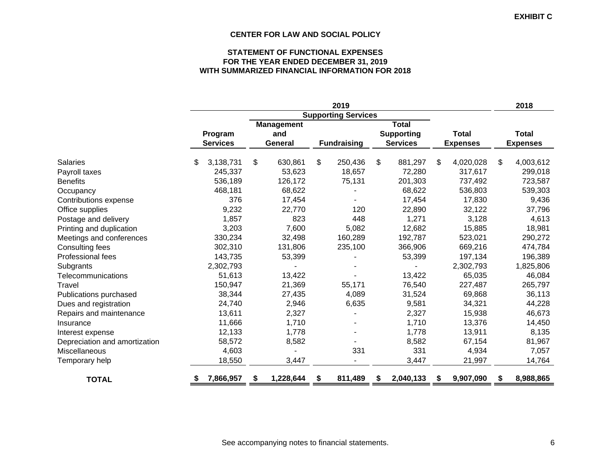## **STATEMENT OF FUNCTIONAL EXPENSES FOR THE YEAR ENDED DECEMBER 31, 2019 WITH SUMMARIZED FINANCIAL INFORMATION FOR 2018**

|                               |                 |                   |    | 2019                       |                   |                 | 2018            |
|-------------------------------|-----------------|-------------------|----|----------------------------|-------------------|-----------------|-----------------|
|                               |                 |                   |    | <b>Supporting Services</b> |                   |                 |                 |
|                               |                 | <b>Management</b> |    |                            | <b>Total</b>      |                 |                 |
|                               | Program         | and               |    |                            | <b>Supporting</b> | <b>Total</b>    | Total           |
|                               | <b>Services</b> | General           |    | <b>Fundraising</b>         | <b>Services</b>   | <b>Expenses</b> | <b>Expenses</b> |
| <b>Salaries</b>               | 3,138,731<br>S  | \$<br>630,861     | \$ | 250,436                    | \$<br>881,297     | \$<br>4,020,028 | \$<br>4,003,612 |
| Payroll taxes                 | 245,337         | 53,623            |    | 18,657                     | 72,280            | 317,617         | 299,018         |
| <b>Benefits</b>               | 536,189         | 126,172           |    | 75,131                     | 201,303           | 737,492         | 723,587         |
| Occupancy                     | 468,181         | 68,622            |    |                            | 68,622            | 536,803         | 539,303         |
| Contributions expense         | 376             | 17,454            |    |                            | 17,454            | 17,830          | 9,436           |
| Office supplies               | 9,232           | 22,770            |    | 120                        | 22,890            | 32,122          | 37,796          |
| Postage and delivery          | 1,857           | 823               |    | 448                        | 1,271             | 3,128           | 4,613           |
| Printing and duplication      | 3,203           | 7,600             |    | 5,082                      | 12,682            | 15,885          | 18,981          |
| Meetings and conferences      | 330,234         | 32,498            |    | 160,289                    | 192,787           | 523,021         | 290,272         |
| Consulting fees               | 302,310         | 131,806           |    | 235,100                    | 366,906           | 669,216         | 474,784         |
| Professional fees             | 143,735         | 53,399            |    |                            | 53,399            | 197,134         | 196,389         |
| Subgrants                     | 2,302,793       |                   |    |                            |                   | 2,302,793       | 1,825,806       |
| Telecommunications            | 51,613          | 13,422            |    |                            | 13,422            | 65,035          | 46,084          |
| Travel                        | 150,947         | 21,369            |    | 55,171                     | 76,540            | 227,487         | 265,797         |
| Publications purchased        | 38,344          | 27,435            |    | 4,089                      | 31,524            | 69,868          | 36,113          |
| Dues and registration         | 24,740          | 2,946             |    | 6,635                      | 9,581             | 34,321          | 44,228          |
| Repairs and maintenance       | 13,611          | 2,327             |    |                            | 2,327             | 15,938          | 46,673          |
| Insurance                     | 11,666          | 1,710             |    |                            | 1,710             | 13,376          | 14,450          |
| Interest expense              | 12,133          | 1,778             |    |                            | 1,778             | 13,911          | 8,135           |
| Depreciation and amortization | 58,572          | 8,582             |    |                            | 8,582             | 67,154          | 81,967          |
| Miscellaneous                 | 4,603           |                   |    | 331                        | 331               | 4,934           | 7,057           |
| Temporary help                | 18,550          | 3,447             |    |                            | 3,447             | 21,997          | 14,764          |
| <b>TOTAL</b>                  | 7,866,957<br>\$ | 1,228,644         | S  | 811,489                    | \$<br>2,040,133   | \$<br>9,907,090 | \$<br>8,988,865 |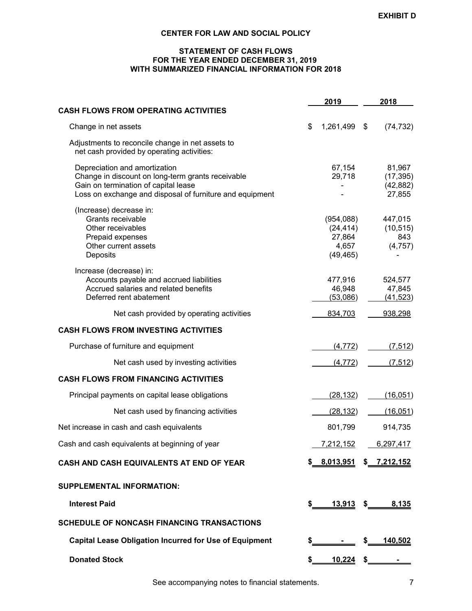## **STATEMENT OF CASH FLOWS FOR THE YEAR ENDED DECEMBER 31, 2019 WITH SUMMARIZED FINANCIAL INFORMATION FOR 2018**

|                                                                                                                                                                                        |               | 2019                                                   | 2018                                       |
|----------------------------------------------------------------------------------------------------------------------------------------------------------------------------------------|---------------|--------------------------------------------------------|--------------------------------------------|
| <b>CASH FLOWS FROM OPERATING ACTIVITIES</b>                                                                                                                                            |               |                                                        |                                            |
| Change in net assets                                                                                                                                                                   | \$            | 1,261,499                                              | \$<br>(74, 732)                            |
| Adjustments to reconcile change in net assets to<br>net cash provided by operating activities:                                                                                         |               |                                                        |                                            |
| Depreciation and amortization<br>Change in discount on long-term grants receivable<br>Gain on termination of capital lease<br>Loss on exchange and disposal of furniture and equipment |               | 67,154<br>29,718                                       | 81,967<br>(17, 395)<br>(42, 882)<br>27,855 |
| (Increase) decrease in:<br>Grants receivable<br>Other receivables<br>Prepaid expenses<br>Other current assets<br>Deposits                                                              |               | (954,088)<br>(24, 414)<br>27,864<br>4,657<br>(49, 465) | 447,015<br>(10, 515)<br>843<br>(4,757)     |
| Increase (decrease) in:<br>Accounts payable and accrued liabilities<br>Accrued salaries and related benefits<br>Deferred rent abatement                                                |               | 477,916<br>46,948<br>(53,086)                          | 524,577<br>47,845<br>(41, 523)             |
| Net cash provided by operating activities                                                                                                                                              |               | 834,703                                                | 938,298                                    |
| <b>CASH FLOWS FROM INVESTING ACTIVITIES</b>                                                                                                                                            |               |                                                        |                                            |
| Purchase of furniture and equipment                                                                                                                                                    |               | (4, 772)                                               | (7, 512)                                   |
| Net cash used by investing activities                                                                                                                                                  |               | (4, 772)                                               | (7, 512)                                   |
| <b>CASH FLOWS FROM FINANCING ACTIVITIES</b>                                                                                                                                            |               |                                                        |                                            |
| Principal payments on capital lease obligations                                                                                                                                        |               | (28, 132)                                              | (16, 051)                                  |
| Net cash used by financing activities                                                                                                                                                  |               | (28, 132)                                              | (16, 051)                                  |
| Net increase in cash and cash equivalents                                                                                                                                              |               | 801,799                                                | 914,735                                    |
| Cash and cash equivalents at beginning of year                                                                                                                                         |               | 7,212,152                                              | 6,297,417                                  |
| CASH AND CASH EQUIVALENTS AT END OF YEAR                                                                                                                                               |               | \$ 8,013,951 \$ 7,212,152                              |                                            |
| <b>SUPPLEMENTAL INFORMATION:</b>                                                                                                                                                       |               |                                                        |                                            |
| <b>Interest Paid</b>                                                                                                                                                                   | \$            |                                                        | 13,913 \$ 8,135                            |
| <b>SCHEDULE OF NONCASH FINANCING TRANSACTIONS</b>                                                                                                                                      |               |                                                        |                                            |
| <b>Capital Lease Obligation Incurred for Use of Equipment</b>                                                                                                                          | $\frac{1}{2}$ |                                                        | <u>140,502</u>                             |
| <b>Donated Stock</b>                                                                                                                                                                   | \$            | $10,224$ \$                                            |                                            |
|                                                                                                                                                                                        |               |                                                        |                                            |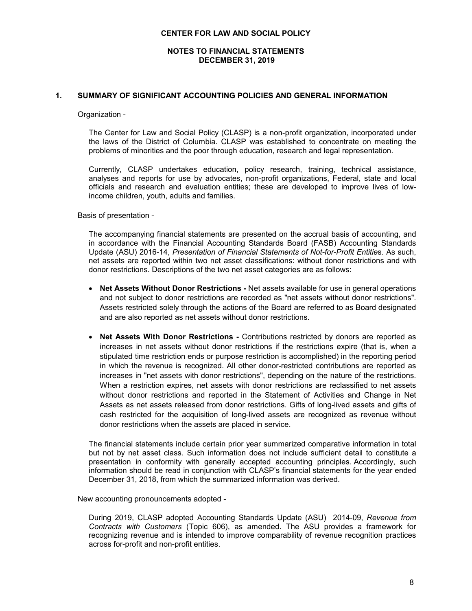## **NOTES TO FINANCIAL STATEMENTS DECEMBER 31, 2019**

#### **1. SUMMARY OF SIGNIFICANT ACCOUNTING POLICIES AND GENERAL INFORMATION**

#### Organization -

The Center for Law and Social Policy (CLASP) is a non-profit organization, incorporated under the laws of the District of Columbia. CLASP was established to concentrate on meeting the problems of minorities and the poor through education, research and legal representation.

Currently, CLASP undertakes education, policy research, training, technical assistance, analyses and reports for use by advocates, non-profit organizations, Federal, state and local officials and research and evaluation entities; these are developed to improve lives of lowincome children, youth, adults and families.

Basis of presentation -

The accompanying financial statements are presented on the accrual basis of accounting, and in accordance with the Financial Accounting Standards Board (FASB) Accounting Standards Update (ASU) 2016-14, *Presentation of Financial Statements of Not-for-Profit Entitie*s. As such, net assets are reported within two net asset classifications: without donor restrictions and with donor restrictions. Descriptions of the two net asset categories are as follows:

- **Net Assets Without Donor Restrictions -** Net assets available for use in general operations and not subject to donor restrictions are recorded as "net assets without donor restrictions". Assets restricted solely through the actions of the Board are referred to as Board designated and are also reported as net assets without donor restrictions.
- **Net Assets With Donor Restrictions -** Contributions restricted by donors are reported as increases in net assets without donor restrictions if the restrictions expire (that is, when a stipulated time restriction ends or purpose restriction is accomplished) in the reporting period in which the revenue is recognized. All other donor-restricted contributions are reported as increases in "net assets with donor restrictions", depending on the nature of the restrictions. When a restriction expires, net assets with donor restrictions are reclassified to net assets without donor restrictions and reported in the Statement of Activities and Change in Net Assets as net assets released from donor restrictions. Gifts of long-lived assets and gifts of cash restricted for the acquisition of long-lived assets are recognized as revenue without donor restrictions when the assets are placed in service.

The financial statements include certain prior year summarized comparative information in total but not by net asset class. Such information does not include sufficient detail to constitute a presentation in conformity with generally accepted accounting principles. Accordingly, such information should be read in conjunction with CLASP's financial statements for the year ended December 31, 2018, from which the summarized information was derived.

New accounting pronouncements adopted -

During 2019, CLASP adopted Accounting Standards Update (ASU) 2014-09, *Revenue from Contracts with Customers* (Topic 606), as amended. The ASU provides a framework for recognizing revenue and is intended to improve comparability of revenue recognition practices across for-profit and non-profit entities.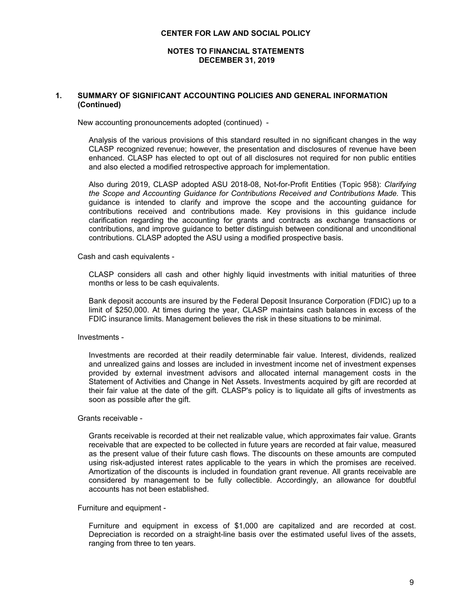#### **NOTES TO FINANCIAL STATEMENTS DECEMBER 31, 2019**

## **1. SUMMARY OF SIGNIFICANT ACCOUNTING POLICIES AND GENERAL INFORMATION (Continued)**

New accounting pronouncements adopted (continued) -

Analysis of the various provisions of this standard resulted in no significant changes in the way CLASP recognized revenue; however, the presentation and disclosures of revenue have been enhanced. CLASP has elected to opt out of all disclosures not required for non public entities and also elected a modified retrospective approach for implementation.

Also during 2019, CLASP adopted ASU 2018-08, Not-for-Profit Entities (Topic 958): *Clarifying the Scope and Accounting Guidance for Contributions Received and Contributions Made.* This guidance is intended to clarify and improve the scope and the accounting guidance for contributions received and contributions made. Key provisions in this guidance include clarification regarding the accounting for grants and contracts as exchange transactions or contributions, and improve guidance to better distinguish between conditional and unconditional contributions. CLASP adopted the ASU using a modified prospective basis.

Cash and cash equivalents -

CLASP considers all cash and other highly liquid investments with initial maturities of three months or less to be cash equivalents.

Bank deposit accounts are insured by the Federal Deposit Insurance Corporation (FDIC) up to a limit of \$250,000. At times during the year, CLASP maintains cash balances in excess of the FDIC insurance limits. Management believes the risk in these situations to be minimal.

Investments -

Investments are recorded at their readily determinable fair value. Interest, dividends, realized and unrealized gains and losses are included in investment income net of investment expenses provided by external investment advisors and allocated internal management costs in the Statement of Activities and Change in Net Assets. Investments acquired by gift are recorded at their fair value at the date of the gift. CLASP's policy is to liquidate all gifts of investments as soon as possible after the gift.

Grants receivable -

Grants receivable is recorded at their net realizable value, which approximates fair value. Grants receivable that are expected to be collected in future years are recorded at fair value, measured as the present value of their future cash flows. The discounts on these amounts are computed using risk-adjusted interest rates applicable to the years in which the promises are received. Amortization of the discounts is included in foundation grant revenue. All grants receivable are considered by management to be fully collectible. Accordingly, an allowance for doubtful accounts has not been established.

Furniture and equipment -

Furniture and equipment in excess of \$1,000 are capitalized and are recorded at cost. Depreciation is recorded on a straight-line basis over the estimated useful lives of the assets, ranging from three to ten years.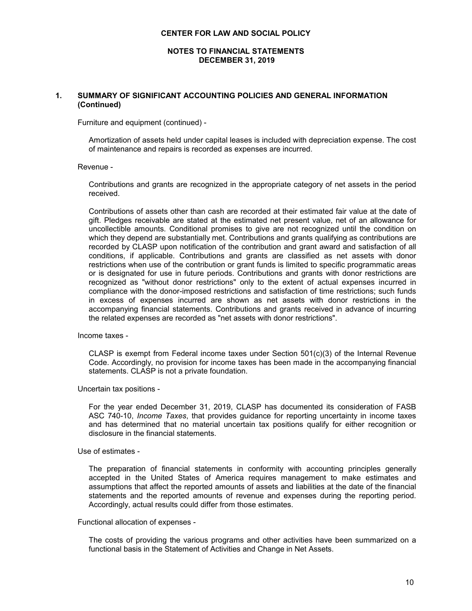**NOTES TO FINANCIAL STATEMENTS DECEMBER 31, 2019**

## **1. SUMMARY OF SIGNIFICANT ACCOUNTING POLICIES AND GENERAL INFORMATION (Continued)**

Furniture and equipment (continued) -

Amortization of assets held under capital leases is included with depreciation expense. The cost of maintenance and repairs is recorded as expenses are incurred.

#### Revenue -

Contributions and grants are recognized in the appropriate category of net assets in the period received.

Contributions of assets other than cash are recorded at their estimated fair value at the date of gift. Pledges receivable are stated at the estimated net present value, net of an allowance for uncollectible amounts. Conditional promises to give are not recognized until the condition on which they depend are substantially met. Contributions and grants qualifying as contributions are recorded by CLASP upon notification of the contribution and grant award and satisfaction of all conditions, if applicable. Contributions and grants are classified as net assets with donor restrictions when use of the contribution or grant funds is limited to specific programmatic areas or is designated for use in future periods. Contributions and grants with donor restrictions are recognized as "without donor restrictions" only to the extent of actual expenses incurred in compliance with the donor-imposed restrictions and satisfaction of time restrictions; such funds in excess of expenses incurred are shown as net assets with donor restrictions in the accompanying financial statements. Contributions and grants received in advance of incurring the related expenses are recorded as "net assets with donor restrictions".

Income taxes -

CLASP is exempt from Federal income taxes under Section  $501(c)(3)$  of the Internal Revenue Code. Accordingly, no provision for income taxes has been made in the accompanying financial statements. CLASP is not a private foundation.

Uncertain tax positions -

For the year ended December 31, 2019, CLASP has documented its consideration of FASB ASC 740-10, *Income Taxes*, that provides guidance for reporting uncertainty in income taxes and has determined that no material uncertain tax positions qualify for either recognition or disclosure in the financial statements.

#### Use of estimates -

The preparation of financial statements in conformity with accounting principles generally accepted in the United States of America requires management to make estimates and assumptions that affect the reported amounts of assets and liabilities at the date of the financial statements and the reported amounts of revenue and expenses during the reporting period. Accordingly, actual results could differ from those estimates.

#### Functional allocation of expenses -

The costs of providing the various programs and other activities have been summarized on a functional basis in the Statement of Activities and Change in Net Assets.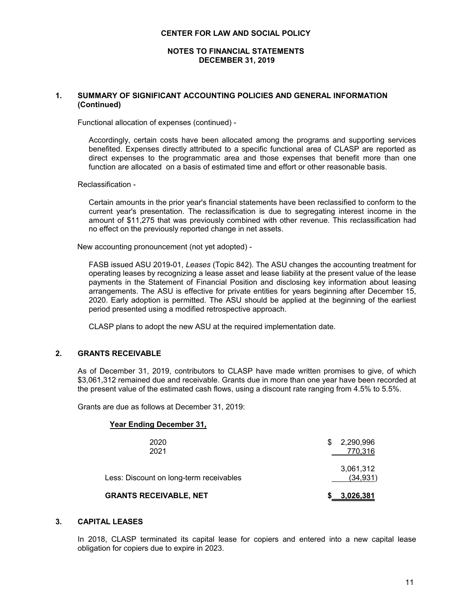#### **NOTES TO FINANCIAL STATEMENTS DECEMBER 31, 2019**

## **1. SUMMARY OF SIGNIFICANT ACCOUNTING POLICIES AND GENERAL INFORMATION (Continued)**

Functional allocation of expenses (continued) -

Accordingly, certain costs have been allocated among the programs and supporting services benefited. Expenses directly attributed to a specific functional area of CLASP are reported as direct expenses to the programmatic area and those expenses that benefit more than one function are allocated on a basis of estimated time and effort or other reasonable basis.

Reclassification -

Certain amounts in the prior year's financial statements have been reclassified to conform to the current year's presentation. The reclassification is due to segregating interest income in the amount of \$11,275 that was previously combined with other revenue. This reclassification had no effect on the previously reported change in net assets.

New accounting pronouncement (not yet adopted) -

FASB issued ASU 2019-01, *Leases* (Topic 842). The ASU changes the accounting treatment for operating leases by recognizing a lease asset and lease liability at the present value of the lease payments in the Statement of Financial Position and disclosing key information about leasing arrangements. The ASU is effective for private entities for years beginning after December 15, 2020. Early adoption is permitted. The ASU should be applied at the beginning of the earliest period presented using a modified retrospective approach.

CLASP plans to adopt the new ASU at the required implementation date.

## **2. GRANTS RECEIVABLE**

As of December 31, 2019, contributors to CLASP have made written promises to give, of which \$3,061,312 remained due and receivable. Grants due in more than one year have been recorded at the present value of the estimated cash flows, using a discount rate ranging from 4.5% to 5.5%.

Grants are due as follows at December 31, 2019:

### **Year Ending December 31,**

| <b>GRANTS RECEIVABLE, NET</b>           |   | \$3,026,381            |
|-----------------------------------------|---|------------------------|
| Less: Discount on long-term receivables |   | 3,061,312<br>(34, 931) |
| 2020<br>2021                            | S | 2,290,996<br>770,316   |

## **3. CAPITAL LEASES**

In 2018, CLASP terminated its capital lease for copiers and entered into a new capital lease obligation for copiers due to expire in 2023.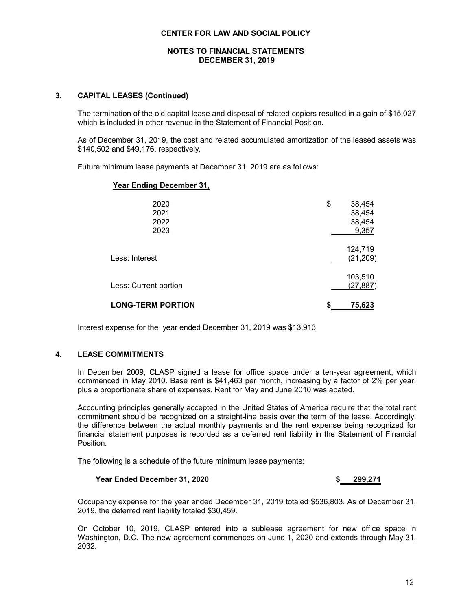## **NOTES TO FINANCIAL STATEMENTS DECEMBER 31, 2019**

## **3. CAPITAL LEASES (Continued)**

The termination of the old capital lease and disposal of related copiers resulted in a gain of \$15,027 which is included in other revenue in the Statement of Financial Position.

As of December 31, 2019, the cost and related accumulated amortization of the leased assets was \$140,502 and \$49,176, respectively.

Future minimum lease payments at December 31, 2019 are as follows:

#### **Year Ending December 31,**

| <b>LONG-TERM PORTION</b>     | 75,623<br>S                               |
|------------------------------|-------------------------------------------|
| Less: Current portion        | 103,510<br>(27, 887)                      |
| Less: Interest               | 124,719<br>(21, 209)                      |
| 2020<br>2021<br>2022<br>2023 | 38,454<br>\$<br>38,454<br>38,454<br>9,357 |

Interest expense for the year ended December 31, 2019 was \$13,913.

## **4. LEASE COMMITMENTS**

In December 2009, CLASP signed a lease for office space under a ten-year agreement, which commenced in May 2010. Base rent is \$41,463 per month, increasing by a factor of 2% per year, plus a proportionate share of expenses. Rent for May and June 2010 was abated.

Accounting principles generally accepted in the United States of America require that the total rent commitment should be recognized on a straight-line basis over the term of the lease. Accordingly, the difference between the actual monthly payments and the rent expense being recognized for financial statement purposes is recorded as a deferred rent liability in the Statement of Financial Position.

The following is a schedule of the future minimum lease payments:

## **Year Ended December 31, 2020 \$ 299,271**

Occupancy expense for the year ended December 31, 2019 totaled \$536,803. As of December 31, 2019, the deferred rent liability totaled \$30,459.

On October 10, 2019, CLASP entered into a sublease agreement for new office space in Washington, D.C. The new agreement commences on June 1, 2020 and extends through May 31, 2032.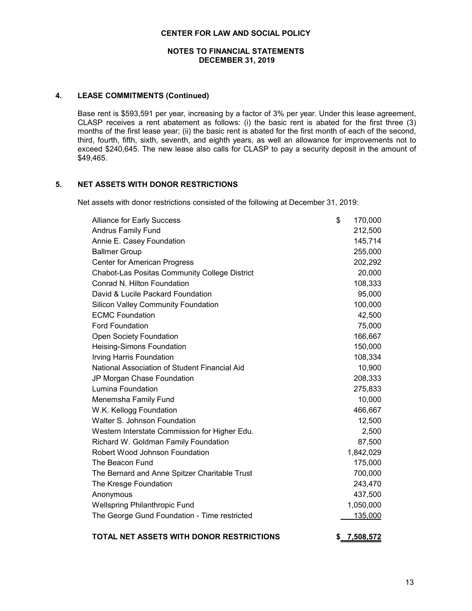## **NOTES TO FINANCIAL STATEMENTS DECEMBER 31, 2019**

#### **4. LEASE COMMITMENTS (Continued)**

Base rent is \$593,591 per year, increasing by a factor of 3% per year. Under this lease agreement, CLASP receives a rent abatement as follows: (i) the basic rent is abated for the first three (3) months of the first lease year; (ii) the basic rent is abated for the first month of each of the second, third, fourth, fifth, sixth, seventh, and eighth years, as well an allowance for improvements not to exceed \$240,645. The new lease also calls for CLASP to pay a security deposit in the amount of \$49,465.

## **5. NET ASSETS WITH DONOR RESTRICTIONS**

Net assets with donor restrictions consisted of the following at December 31, 2019:

| <b>Alliance for Early Success</b>                    | \$<br>170,000 |
|------------------------------------------------------|---------------|
| <b>Andrus Family Fund</b>                            | 212,500       |
| Annie E. Casey Foundation                            | 145,714       |
| <b>Ballmer Group</b>                                 | 255,000       |
| <b>Center for American Progress</b>                  | 202,292       |
| <b>Chabot-Las Positas Community College District</b> | 20,000        |
| Conrad N. Hilton Foundation                          | 108,333       |
| David & Lucile Packard Foundation                    | 95,000        |
| <b>Silicon Valley Community Foundation</b>           | 100,000       |
| <b>ECMC Foundation</b>                               | 42,500        |
| <b>Ford Foundation</b>                               | 75,000        |
| <b>Open Society Foundation</b>                       | 166,667       |
| Heising-Simons Foundation                            | 150,000       |
| Irving Harris Foundation                             | 108,334       |
| National Association of Student Financial Aid        | 10,900        |
| JP Morgan Chase Foundation                           | 208,333       |
| Lumina Foundation                                    | 275,833       |
| Menemsha Family Fund                                 | 10,000        |
| W.K. Kellogg Foundation                              | 466,667       |
| Walter S. Johnson Foundation                         | 12,500        |
| Western Interstate Commission for Higher Edu.        | 2,500         |
| Richard W. Goldman Family Foundation                 | 87,500        |
| Robert Wood Johnson Foundation                       | 1,842,029     |
| The Beacon Fund                                      | 175,000       |
| The Bernard and Anne Spitzer Charitable Trust        | 700,000       |
| The Kresge Foundation                                | 243,470       |
| Anonymous                                            | 437,500       |
| <b>Wellspring Philanthropic Fund</b>                 | 1,050,000     |
| The George Gund Foundation - Time restricted         | 135,000       |
|                                                      |               |

# **TOTAL NET ASSETS WITH DONOR RESTRICTIONS \$ 7,508,572**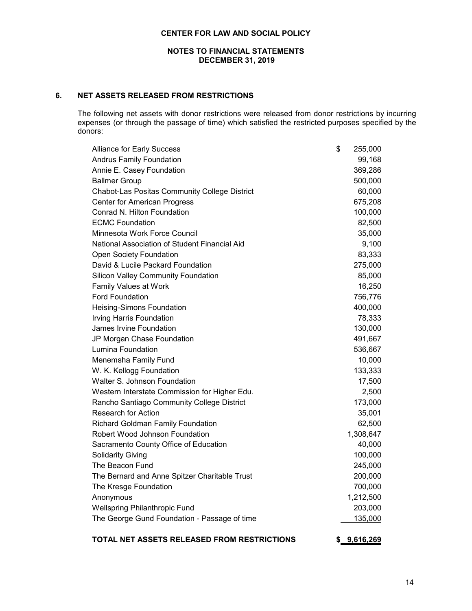## **NOTES TO FINANCIAL STATEMENTS DECEMBER 31, 2019**

# **6. NET ASSETS RELEASED FROM RESTRICTIONS**

The following net assets with donor restrictions were released from donor restrictions by incurring expenses (or through the passage of time) which satisfied the restricted purposes specified by the donors:

| <b>Alliance for Early Success</b>             | \$<br>255,000 |
|-----------------------------------------------|---------------|
| <b>Andrus Family Foundation</b>               | 99,168        |
| Annie E. Casey Foundation                     | 369,286       |
| <b>Ballmer Group</b>                          | 500,000       |
| Chabot-Las Positas Community College District | 60,000        |
| <b>Center for American Progress</b>           | 675,208       |
| Conrad N. Hilton Foundation                   | 100,000       |
| <b>ECMC Foundation</b>                        | 82,500        |
| Minnesota Work Force Council                  | 35,000        |
| National Association of Student Financial Aid | 9,100         |
| <b>Open Society Foundation</b>                | 83,333        |
| David & Lucile Packard Foundation             | 275,000       |
| <b>Silicon Valley Community Foundation</b>    | 85,000        |
| <b>Family Values at Work</b>                  | 16,250        |
| <b>Ford Foundation</b>                        | 756,776       |
| Heising-Simons Foundation                     | 400,000       |
| Irving Harris Foundation                      | 78,333        |
| James Irvine Foundation                       | 130,000       |
| JP Morgan Chase Foundation                    | 491,667       |
| Lumina Foundation                             | 536,667       |
| Menemsha Family Fund                          | 10,000        |
| W. K. Kellogg Foundation                      | 133,333       |
| Walter S. Johnson Foundation                  | 17,500        |
| Western Interstate Commission for Higher Edu. | 2,500         |
| Rancho Santiago Community College District    | 173,000       |
| <b>Research for Action</b>                    | 35,001        |
| <b>Richard Goldman Family Foundation</b>      | 62,500        |
| Robert Wood Johnson Foundation                | 1,308,647     |
| Sacramento County Office of Education         | 40,000        |
| <b>Solidarity Giving</b>                      | 100,000       |
| The Beacon Fund                               | 245,000       |
| The Bernard and Anne Spitzer Charitable Trust | 200,000       |
| The Kresge Foundation                         | 700,000       |
| Anonymous                                     | 1,212,500     |
| <b>Wellspring Philanthropic Fund</b>          | 203,000       |
| The George Gund Foundation - Passage of time  | 135,000       |

# **TOTAL NET ASSETS RELEASED FROM RESTRICTIONS \$ 9,616,269**